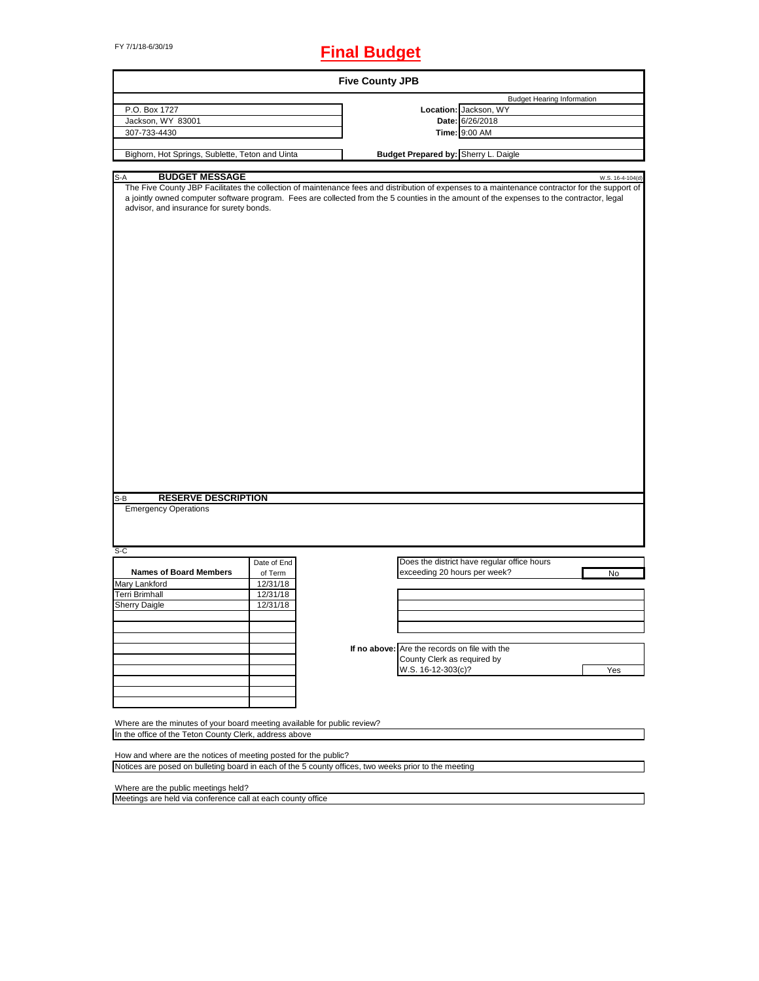# FY 7/1/18-6/30/19 **Final Budget**

|                                                                                                                                                                         |                                             | <b>Five County JPB</b>                                                                             |                                                                                                                                                                                                                                                                                                                |
|-------------------------------------------------------------------------------------------------------------------------------------------------------------------------|---------------------------------------------|----------------------------------------------------------------------------------------------------|----------------------------------------------------------------------------------------------------------------------------------------------------------------------------------------------------------------------------------------------------------------------------------------------------------------|
| P.O. Box 1727<br>Jackson, WY 83001                                                                                                                                      |                                             |                                                                                                    | <b>Budget Hearing Information</b><br>Location: Jackson, WY<br>Date: 6/26/2018                                                                                                                                                                                                                                  |
| 307-733-4430<br>Bighorn, Hot Springs, Sublette, Teton and Uinta                                                                                                         |                                             | Budget Prepared by: Sherry L. Daigle                                                               | Time: 9:00 AM                                                                                                                                                                                                                                                                                                  |
|                                                                                                                                                                         |                                             |                                                                                                    |                                                                                                                                                                                                                                                                                                                |
| <b>BUDGET MESSAGE</b><br>S-A<br>advisor, and insurance for surety bonds.                                                                                                |                                             |                                                                                                    | W.S. 16-4-104(d)<br>The Five County JBP Facilitates the collection of maintenance fees and distribution of expenses to a maintenance contractor for the support of<br>a jointly owned computer software program. Fees are collected from the 5 counties in the amount of the expenses to the contractor, legal |
| <b>RESERVE DESCRIPTION</b><br>S-B<br><b>Emergency Operations</b><br>S-C                                                                                                 |                                             |                                                                                                    |                                                                                                                                                                                                                                                                                                                |
|                                                                                                                                                                         | Date of End                                 |                                                                                                    | Does the district have regular office hours                                                                                                                                                                                                                                                                    |
| <b>Names of Board Members</b><br>Mary Lankford<br>Terri Brimhall<br><b>Sherry Daigle</b>                                                                                | of Term<br>12/31/18<br>12/31/18<br>12/31/18 | exceeding 20 hours per week?                                                                       | No                                                                                                                                                                                                                                                                                                             |
|                                                                                                                                                                         |                                             | If no above: Are the records on file with the<br>County Clerk as required by<br>W.S. 16-12-303(c)? | Yes                                                                                                                                                                                                                                                                                                            |
| Where are the minutes of your board meeting available for public review?<br>In the office of the Teton County Clerk, address above                                      |                                             |                                                                                                    |                                                                                                                                                                                                                                                                                                                |
| How and where are the notices of meeting posted for the public?<br>Notices are posed on bulleting board in each of the 5 county offices, two weeks prior to the meeting |                                             |                                                                                                    |                                                                                                                                                                                                                                                                                                                |
| Where are the public meetings held?                                                                                                                                     |                                             |                                                                                                    |                                                                                                                                                                                                                                                                                                                |

 $\overline{\phantom{a}}$ 

Meetings are held via conference call at each county office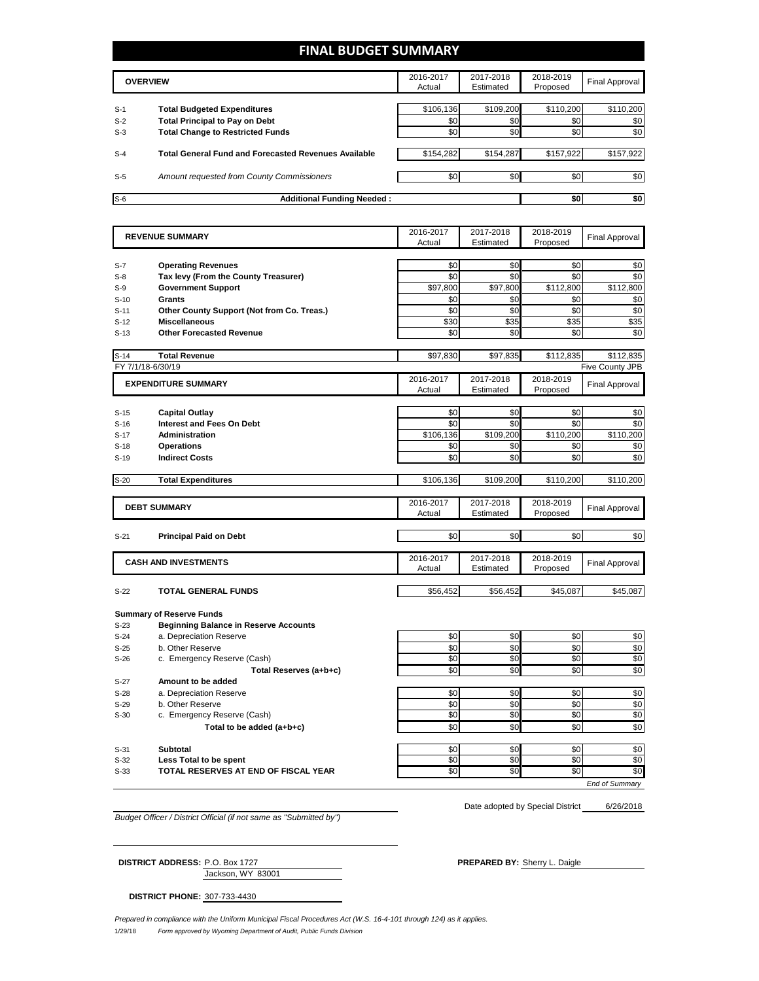## **FINAL BUDGET SUMMARY**

|       | <b>OVERVIEW</b>                                             |           | 2017-2018<br>Estimated | 2018-2019<br>Proposed | Final Approval |
|-------|-------------------------------------------------------------|-----------|------------------------|-----------------------|----------------|
|       |                                                             |           |                        |                       |                |
| $S-1$ | <b>Total Budgeted Expenditures</b>                          | \$106,136 | \$109,200              | \$110,200             | \$110,200      |
| $S-2$ | <b>Total Principal to Pay on Debt</b>                       | \$0       | \$0                    | \$0                   | \$0            |
| $S-3$ | <b>Total Change to Restricted Funds</b>                     | \$0       | \$0                    | \$0                   | \$0            |
|       |                                                             |           |                        |                       |                |
| $S-4$ | <b>Total General Fund and Forecasted Revenues Available</b> | \$154,282 | \$154,287              | \$157,922             | \$157,922      |
|       |                                                             |           |                        |                       |                |
| $S-5$ | <b>Amount requested from County Commissioners</b>           | \$0       | \$0 <sub>1</sub>       | \$0                   | \$0            |
|       |                                                             |           |                        |                       |                |
| $S-6$ | <b>Additional Funding Needed:</b>                           |           |                        | \$0                   | \$0            |

|                | <b>REVENUE SUMMARY</b>                                            | 2016-2017  | 2017-2018  | 2018-2019       | <b>Final Approval</b> |
|----------------|-------------------------------------------------------------------|------------|------------|-----------------|-----------------------|
|                |                                                                   | Actual     | Estimated  | Proposed        |                       |
|                |                                                                   |            |            |                 |                       |
| $S-7$<br>$S-8$ | <b>Operating Revenues</b>                                         | \$0<br>\$0 | \$0<br>\$0 | \$0<br>\$0      | \$0<br>\$0            |
| $S-9$          | Tax levy (From the County Treasurer)<br><b>Government Support</b> | \$97,800   | \$97,800   | \$112,800       | \$112,800             |
|                |                                                                   |            |            |                 |                       |
| $S-10$         | <b>Grants</b>                                                     | \$0        | \$0        | \$0             | \$0                   |
| $S-11$         | Other County Support (Not from Co. Treas.)                        | \$0        | \$0        | \$0             | \$0                   |
| $S-12$         | <b>Miscellaneous</b>                                              | \$30       | \$35       | \$35            | \$35                  |
| $S-13$         | <b>Other Forecasted Revenue</b>                                   | \$0        | \$0        | \$0             | \$0                   |
| $S-14$         | <b>Total Revenue</b>                                              | \$97,830   | \$97,835   | \$112,835       | \$112,835             |
|                | FY 7/1/18-6/30/19                                                 |            |            |                 | Five County JPB       |
|                | <b>EXPENDITURE SUMMARY</b>                                        | 2016-2017  | 2017-2018  | 2018-2019       |                       |
|                |                                                                   | Actual     | Estimated  | Proposed        | <b>Final Approval</b> |
|                |                                                                   |            |            |                 |                       |
| $S-15$         | <b>Capital Outlay</b>                                             | \$0        | \$0        | \$0             | \$0                   |
| $S-16$         | <b>Interest and Fees On Debt</b>                                  | \$0        | \$0        | \$0             | \$0                   |
| $S-17$         | <b>Administration</b>                                             | \$106,136  | \$109,200  | \$110,200       | \$110,200             |
| $S-18$         | <b>Operations</b>                                                 | \$0        | \$0        | \$0             | \$0                   |
| $S-19$         | <b>Indirect Costs</b>                                             | \$0        | \$0        | \$0             | \$0                   |
|                |                                                                   |            |            |                 |                       |
| $S-20$         | <b>Total Expenditures</b>                                         | \$106,136  | \$109,200  | \$110,200       | \$110,200             |
|                |                                                                   |            |            |                 |                       |
|                | <b>DEBT SUMMARY</b>                                               | 2016-2017  | 2017-2018  | 2018-2019       | <b>Final Approval</b> |
|                |                                                                   | Actual     | Estimated  | Proposed        |                       |
| $S-21$         | <b>Principal Paid on Debt</b>                                     | \$0        | \$0        | \$0             | \$0                   |
|                |                                                                   |            |            |                 |                       |
|                | <b>CASH AND INVESTMENTS</b>                                       | 2016-2017  | 2017-2018  | 2018-2019       |                       |
|                |                                                                   | Actual     | Estimated  | Proposed        | <b>Final Approval</b> |
|                |                                                                   |            |            |                 |                       |
| $S-22$         | <b>TOTAL GENERAL FUNDS</b>                                        | \$56.452   | \$56.452   | \$45.087        | \$45.087              |
|                | <b>Summary of Reserve Funds</b>                                   |            |            |                 |                       |
| $S-23$         | <b>Beginning Balance in Reserve Accounts</b>                      |            |            |                 |                       |
| $S-24$         | a. Depreciation Reserve                                           | \$0        | \$0        | \$0             | \$0                   |
| $S-25$         | b. Other Reserve                                                  | \$0        | \$0        | \$0             | \$0                   |
| $S-26$         | c. Emergency Reserve (Cash)                                       | \$0        | \$0        | \$0             | \$0                   |
|                | Total Reserves (a+b+c)                                            | \$0        | \$0        | \$0             | \$0                   |
| $S-27$         | Amount to be added                                                |            |            |                 |                       |
| $S-28$         | a. Depreciation Reserve                                           | \$0        | \$0        | \$0             | \$0                   |
|                |                                                                   |            | \$0        | \$0             | \$0                   |
|                |                                                                   |            |            |                 |                       |
| $S-29$         | b. Other Reserve                                                  | \$0        |            |                 |                       |
| $S-30$         | c. Emergency Reserve (Cash)                                       | \$0        | \$0        | \$0             | \$0                   |
|                | Total to be added (a+b+c)                                         | \$0        | \$0        | \$0             | \$0                   |
| $S-31$         | <b>Subtotal</b>                                                   | \$0        | \$0        | \$0             | \$0                   |
| $S-32$         | Less Total to be spent                                            | \$0        | \$0        | \$0             | \$0                   |
| $S-33$         | TOTAL RESERVES AT END OF FISCAL YEAR                              | \$0        | \$0        | $\overline{50}$ | \$0                   |

*Budget Officer / District Official (if not same as "Submitted by")*

Jackson, WY 83001

6/26/2018 Date adopted by Special District

**DISTRICT ADDRESS:** P.O. Box 1727 **PREPARED BY:** Sherry L. Daigle

**DISTRICT PHONE:** 307-733-4430

1/29/18 *Form approved by Wyoming Department of Audit, Public Funds Division Prepared in compliance with the Uniform Municipal Fiscal Procedures Act (W.S. 16-4-101 through 124) as it applies.*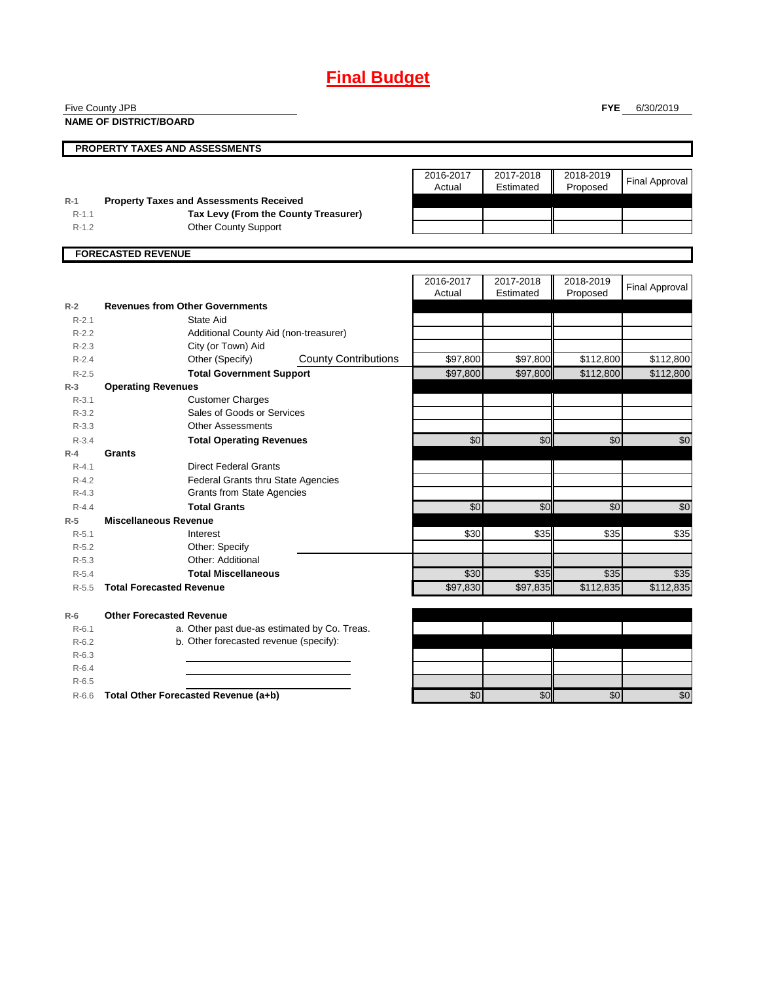## **Final Budget**

Five County JPB

**NAME OF DISTRICT/BOARD**

**FYE** 6/30/2019

|           | <b>PROPERTY TAXES AND ASSESSMENTS</b>          |           |           |           |                       |
|-----------|------------------------------------------------|-----------|-----------|-----------|-----------------------|
|           |                                                | 2016-2017 | 2017-2018 | 2018-2019 |                       |
|           |                                                | Actual    | Estimated | Proposed  | <b>Final Approval</b> |
| $R-1$     | <b>Property Taxes and Assessments Received</b> |           |           |           |                       |
| $R-1.1$   | Tax Levy (From the County Treasurer)           |           |           |           |                       |
| $R-1.2$   | <b>Other County Support</b>                    |           |           |           |                       |
|           |                                                |           |           |           |                       |
|           | <b>FORECASTED REVENUE</b>                      |           |           |           |                       |
|           |                                                |           |           |           |                       |
|           |                                                | 2016-2017 | 2017-2018 | 2018-2019 | <b>Final Approval</b> |
|           |                                                | Actual    | Estimated | Proposed  |                       |
| $R-2$     | <b>Revenues from Other Governments</b>         |           |           |           |                       |
| $R - 2.1$ | State Aid                                      |           |           |           |                       |
| $R - 2.2$ | Additional County Aid (non-treasurer)          |           |           |           |                       |
| $R - 2.3$ | City (or Town) Aid                             |           |           |           |                       |

| $R-2.2$   | Additional County Aid (non-treasurer)        |                             |          |          |           |           |
|-----------|----------------------------------------------|-----------------------------|----------|----------|-----------|-----------|
| $R - 2.3$ | City (or Town) Aid                           |                             |          |          |           |           |
| $R - 2.4$ | Other (Specify)                              | <b>County Contributions</b> | \$97,800 | \$97,800 | \$112,800 | \$112,800 |
| $R - 2.5$ | <b>Total Government Support</b>              |                             | \$97,800 | \$97,800 | \$112,800 | \$112,800 |
| $R-3$     | <b>Operating Revenues</b>                    |                             |          |          |           |           |
| $R-3.1$   | <b>Customer Charges</b>                      |                             |          |          |           |           |
| $R-3.2$   | Sales of Goods or Services                   |                             |          |          |           |           |
| $R - 3.3$ | <b>Other Assessments</b>                     |                             |          |          |           |           |
| $R - 3.4$ | <b>Total Operating Revenues</b>              |                             | \$0      | \$0      | \$0       | \$0       |
| $R-4$     | <b>Grants</b>                                |                             |          |          |           |           |
| $R - 4.1$ | <b>Direct Federal Grants</b>                 |                             |          |          |           |           |
| $R - 4.2$ | <b>Federal Grants thru State Agencies</b>    |                             |          |          |           |           |
| $R - 4.3$ | <b>Grants from State Agencies</b>            |                             |          |          |           |           |
| $R - 4.4$ | <b>Total Grants</b>                          |                             | \$0      | \$0      | \$0       | \$0       |
| $R-5$     | <b>Miscellaneous Revenue</b>                 |                             |          |          |           |           |
| $R - 5.1$ | Interest                                     |                             | \$30     | \$35     | \$35      | \$35      |
| $R-5.2$   | Other: Specify                               |                             |          |          |           |           |
| $R - 5.3$ | Other: Additional                            |                             |          |          |           |           |
| $R - 5.4$ | <b>Total Miscellaneous</b>                   |                             | \$30     | \$35     | \$35      | \$35      |
| $R - 5.5$ | <b>Total Forecasted Revenue</b>              |                             | \$97,830 | \$97,835 | \$112,835 | \$112,835 |
| $R-6$     | <b>Other Forecasted Revenue</b>              |                             |          |          |           |           |
| $R - 6.1$ | a. Other past due-as estimated by Co. Treas. |                             |          |          |           |           |
| $R-6.2$   | b. Other forecasted revenue (specify):       |                             |          |          |           |           |
| $R-6.3$   |                                              |                             |          |          |           |           |
| $R - 6.4$ |                                              |                             |          |          |           |           |
| $R - 6.5$ |                                              |                             |          |          |           |           |
| $R-6.6$   | Total Other Forecasted Revenue (a+b)         |                             | \$0      | \$0      | \$0       | \$0       |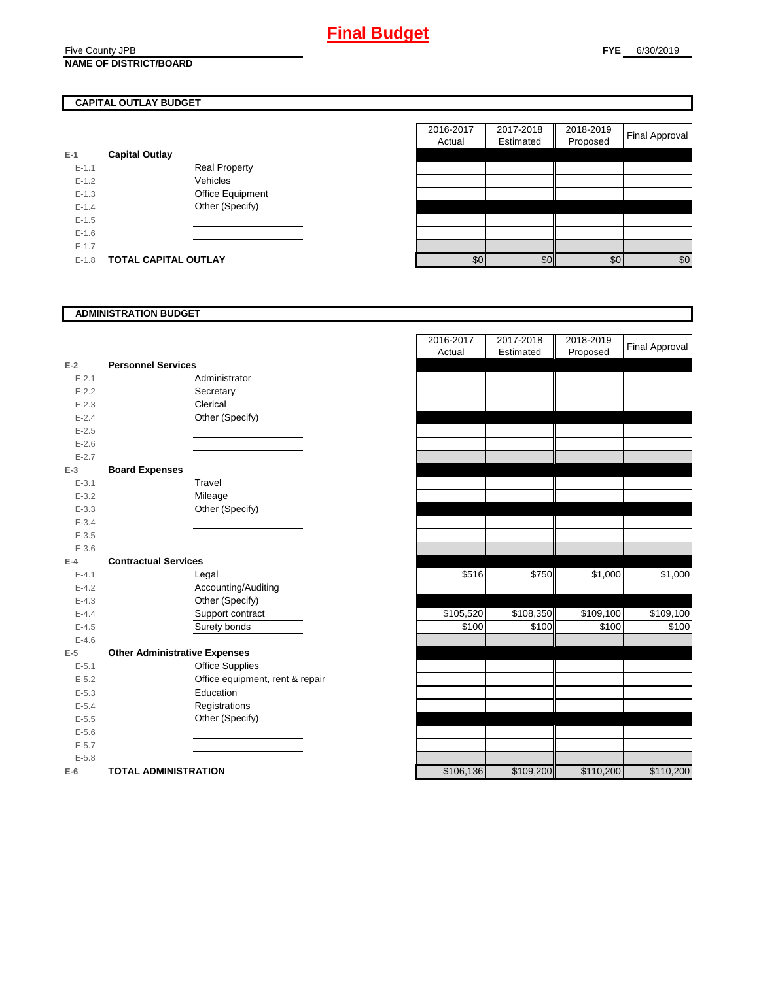### Five County JPB **NAME OF DISTRICT/BOARD**

## **CAPITAL OUTLAY BUDGET**

| $E-1$     | <b>Capital Outlay</b> |                         |
|-----------|-----------------------|-------------------------|
| $E - 1.1$ |                       | <b>Real Property</b>    |
| $F-12$    |                       | Vehicles                |
| $F-1.3$   |                       | <b>Office Equipment</b> |
| $F-14$    |                       | Other (Specify)         |
| $F-1.5$   |                       |                         |
| $E - 1.6$ |                       |                         |
| $E - 1.7$ |                       |                         |
| $E-1.8$   | TOTAL CAPITAL OUTLAY  |                         |

|                             | 2016-2017<br>Actual | 2017-2018<br>Estimated | 2018-2019<br>Proposed | Final Approval |
|-----------------------------|---------------------|------------------------|-----------------------|----------------|
| <b>Capital Outlay</b>       |                     |                        |                       |                |
|                             |                     |                        |                       |                |
| <b>Real Property</b>        |                     |                        |                       |                |
| Vehicles                    |                     |                        |                       |                |
| Office Equipment            |                     |                        |                       |                |
| Other (Specify)             |                     |                        |                       |                |
|                             |                     |                        |                       |                |
|                             |                     |                        |                       |                |
|                             |                     |                        |                       |                |
| <b>TOTAL CAPITAL OUTLAY</b> |                     |                        | \$0                   | \$0            |
|                             |                     |                        | \$0                   | \$0            |

### **ADMINISTRATION BUDGET**

| $E-2$     | <b>Personnel Services</b>            |                                 |
|-----------|--------------------------------------|---------------------------------|
| $E - 2.1$ |                                      | Administrator                   |
| $E - 2.2$ |                                      | Secretary                       |
| $E - 2.3$ |                                      | Clerical                        |
| $E - 2.4$ |                                      | Other (Specify)                 |
| $E - 2.5$ |                                      |                                 |
| $E - 2.6$ |                                      |                                 |
| $E - 2.7$ |                                      |                                 |
| $E-3$     | <b>Board Expenses</b>                |                                 |
| $E - 3.1$ |                                      | Travel                          |
| $E - 3.2$ |                                      | Mileage                         |
| $E - 3.3$ |                                      | Other (Specify)                 |
| $E - 3.4$ |                                      |                                 |
| $E - 3.5$ |                                      |                                 |
| $E - 3.6$ |                                      |                                 |
| $E-4$     | <b>Contractual Services</b>          |                                 |
| $E - 4.1$ |                                      | Legal                           |
| $E - 4.2$ |                                      | Accounting/Auditing             |
| $E - 4.3$ |                                      | Other (Specify)                 |
| $E - 4.4$ |                                      | Support contract                |
| $E - 4.5$ |                                      | Surety bonds                    |
| $E - 4.6$ |                                      |                                 |
| $E-5$     | <b>Other Administrative Expenses</b> |                                 |
| $E - 5.1$ |                                      | <b>Office Supplies</b>          |
| $E - 5.2$ |                                      | Office equipment, rent & repair |
| $E - 5.3$ |                                      | Education                       |
| $E - 5.4$ |                                      | Registrations                   |
| $E - 5.5$ |                                      | Other (Specify)                 |
| $E - 5.6$ |                                      |                                 |
| $E - 5.7$ |                                      |                                 |
| $E - 5.8$ |                                      |                                 |
| $E-6$     | <b>TOTAL ADMINISTRATION</b>          |                                 |

|           |                                      | 2016-2017<br>Actual | 2017-2018<br>Estimated | 2018-2019<br>Proposed | <b>Final Approval</b> |
|-----------|--------------------------------------|---------------------|------------------------|-----------------------|-----------------------|
| $E-2$     | <b>Personnel Services</b>            |                     |                        |                       |                       |
| $E - 2.1$ | Administrator                        |                     |                        |                       |                       |
| $E - 2.2$ | Secretary                            |                     |                        |                       |                       |
| $E - 2.3$ | Clerical                             |                     |                        |                       |                       |
| $E - 2.4$ | Other (Specify)                      |                     |                        |                       |                       |
| $E - 2.5$ |                                      |                     |                        |                       |                       |
| $E - 2.6$ |                                      |                     |                        |                       |                       |
| $E - 2.7$ |                                      |                     |                        |                       |                       |
| $E-3$     | <b>Board Expenses</b>                |                     |                        |                       |                       |
| $E - 3.1$ | Travel                               |                     |                        |                       |                       |
| $E - 3.2$ | Mileage                              |                     |                        |                       |                       |
| $E - 3.3$ | Other (Specify)                      |                     |                        |                       |                       |
| $E - 3.4$ |                                      |                     |                        |                       |                       |
| $E - 3.5$ |                                      |                     |                        |                       |                       |
| $E - 3.6$ |                                      |                     |                        |                       |                       |
| $E-4$     | <b>Contractual Services</b>          |                     |                        |                       |                       |
| $E - 4.1$ | Legal                                | \$516               | \$750                  | \$1,000               | \$1,000               |
| $E - 4.2$ | Accounting/Auditing                  |                     |                        |                       |                       |
| $E - 4.3$ | Other (Specify)                      |                     |                        |                       |                       |
| $E-4.4$   | Support contract                     | \$105,520           | \$108,350              | \$109,100             | \$109,100             |
| $E-4.5$   | Surety bonds                         | \$100               | \$100                  | \$100                 | \$100                 |
| $E - 4.6$ |                                      |                     |                        |                       |                       |
| $E-5$     | <b>Other Administrative Expenses</b> |                     |                        |                       |                       |
| $E - 5.1$ | <b>Office Supplies</b>               |                     |                        |                       |                       |
| $E - 5.2$ | Office equipment, rent & repair      |                     |                        |                       |                       |
| $E - 5.3$ | Education                            |                     |                        |                       |                       |
| $E - 5.4$ | Registrations                        |                     |                        |                       |                       |
| $E - 5.5$ | Other (Specify)                      |                     |                        |                       |                       |
| $E-5.6$   |                                      |                     |                        |                       |                       |
| $E - 5.7$ |                                      |                     |                        |                       |                       |
| $E - 5.8$ |                                      |                     |                        |                       |                       |
| $E-6$     | <b>TOTAL ADMINISTRATION</b>          | \$106,136           | \$109,200              | \$110,200             | \$110,200             |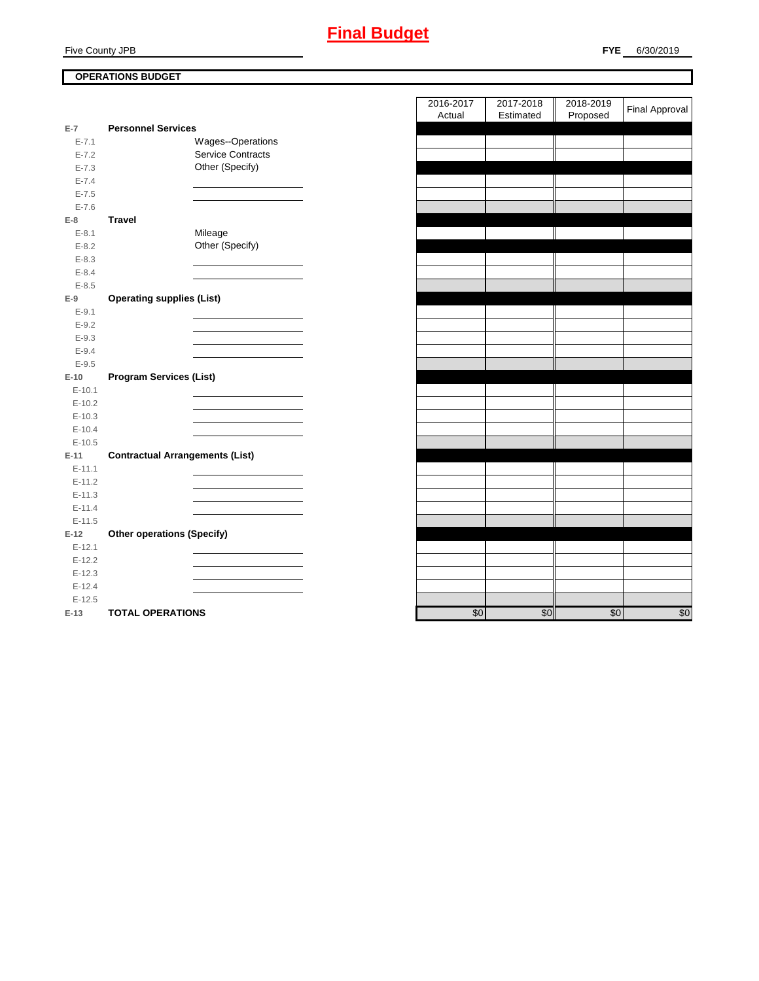## **FYE** 6/30/2019

## **OPERATIONS BUDGET**

| $E-7$      | <b>Personnel Services</b>              |
|------------|----------------------------------------|
| $E - 7.1$  | Wages--Operations                      |
| $E - 7.2$  | <b>Service Contracts</b>               |
| $E - 7.3$  | Other (Specify)                        |
| $E - 7.4$  |                                        |
| $E - 7.5$  |                                        |
| $E - 7.6$  |                                        |
| $E-8$      | <b>Travel</b>                          |
| $E - 8.1$  | Mileage                                |
| $E - 8.2$  | Other (Specify)                        |
| $E - 8.3$  |                                        |
| $E - 8.4$  |                                        |
| $E - 8.5$  |                                        |
| $E-9$      | <b>Operating supplies (List)</b>       |
| $E - 9.1$  |                                        |
| $E - 9.2$  |                                        |
| $E - 9.3$  |                                        |
| $E - 9.4$  |                                        |
| $E - 9.5$  |                                        |
| $E-10$     | <b>Program Services (List)</b>         |
| $E-10.1$   |                                        |
| $E-10.2$   |                                        |
| $E-10.3$   |                                        |
| $E-10.4$   |                                        |
| $E-10.5$   |                                        |
| $E-11$     | <b>Contractual Arrangements (List)</b> |
| $E - 11.1$ |                                        |
| $E-11.2$   |                                        |
| $E-11.3$   |                                        |
| $E - 11.4$ |                                        |
| $E-11.5$   |                                        |
| $E-12$     | <b>Other operations (Specify)</b>      |
| $E-12.1$   |                                        |
| $E-12.2$   |                                        |
| $E-12.3$   |                                        |
| $E-12.4$   |                                        |
| $E-12.5$   |                                        |
| $E-13$     | <b>TOTAL OPERATIONS</b>                |

| 2016-2017<br>Actual | 2017-2018<br>Estimated | 2018-2019<br>Proposed | Final Approval  |
|---------------------|------------------------|-----------------------|-----------------|
|                     |                        |                       |                 |
|                     |                        |                       |                 |
|                     |                        |                       |                 |
|                     |                        |                       |                 |
|                     |                        |                       |                 |
|                     |                        |                       |                 |
|                     |                        |                       |                 |
|                     |                        |                       |                 |
|                     |                        |                       |                 |
|                     |                        |                       |                 |
|                     |                        |                       |                 |
|                     |                        |                       |                 |
|                     |                        |                       |                 |
|                     |                        |                       |                 |
|                     |                        |                       |                 |
|                     |                        |                       |                 |
|                     |                        |                       |                 |
|                     |                        |                       |                 |
|                     |                        |                       |                 |
|                     |                        |                       |                 |
|                     |                        |                       |                 |
|                     |                        |                       |                 |
|                     |                        |                       |                 |
|                     |                        |                       |                 |
|                     |                        |                       |                 |
|                     |                        |                       |                 |
|                     |                        |                       |                 |
|                     |                        |                       |                 |
|                     |                        |                       |                 |
|                     |                        |                       |                 |
|                     |                        |                       |                 |
|                     |                        |                       |                 |
|                     |                        |                       |                 |
|                     |                        |                       |                 |
|                     |                        |                       |                 |
|                     |                        |                       |                 |
| \$0                 | \$0                    | \$0                   | $\overline{30}$ |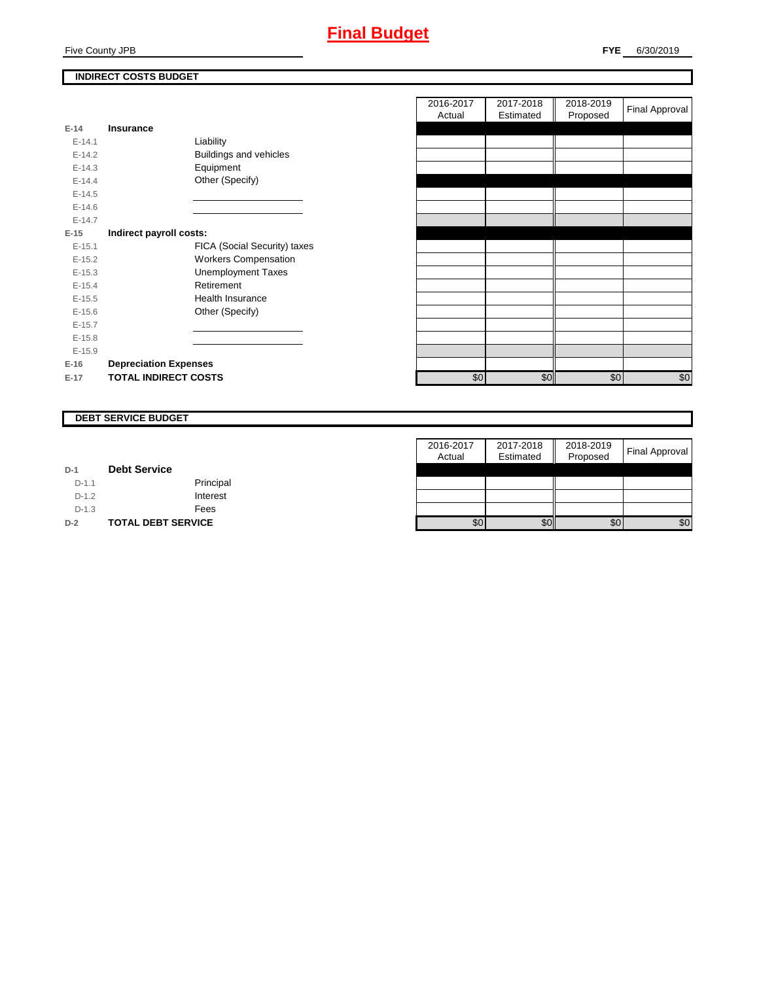## **Final Budget**

## **INDIRECT COSTS BUDGET**

| E-14 and the set of the set of the set of the set of the set of the set of the set of the set of the set of th | Insurance                    |
|----------------------------------------------------------------------------------------------------------------|------------------------------|
|                                                                                                                |                              |
| $F-141$                                                                                                        | Liability                    |
| $E-14.2$                                                                                                       | Buildings and vehicles       |
| $F-14.3$                                                                                                       | Equipment                    |
| $F-144$                                                                                                        | Other (Specify)              |
| $F-14.5$                                                                                                       |                              |
| $F-146$                                                                                                        |                              |
| $F-147$                                                                                                        |                              |
| E-15                                                                                                           | Indirect payroll costs:      |
| $E-15.1$                                                                                                       | FICA (Social Security) taxes |
| $F-152$                                                                                                        | <b>Workers Compensation</b>  |
| $E-15.3$                                                                                                       | <b>Unemployment Taxes</b>    |
| $E-15.4$                                                                                                       | Retirement                   |
| $E-15.5$                                                                                                       | Health Insurance             |
| $E - 15.6$                                                                                                     | Other (Specify)              |
| $E-15.7$                                                                                                       |                              |
| $E-15.8$                                                                                                       |                              |
| $E-15.9$                                                                                                       |                              |
| $E-16$                                                                                                         | <b>Depreciation Expenses</b> |
| $E-17$                                                                                                         | <b>TOTAL INDIRECT COSTS</b>  |

|          |                              | 2016-2017<br>Actual | 2017-2018<br>Estimated | 2018-2019<br>Proposed | <b>Final Approval</b> |
|----------|------------------------------|---------------------|------------------------|-----------------------|-----------------------|
| $E-14$   | <b>Insurance</b>             |                     |                        |                       |                       |
| $E-14.1$ | Liability                    |                     |                        |                       |                       |
| $E-14.2$ | Buildings and vehicles       |                     |                        |                       |                       |
| $E-14.3$ | Equipment                    |                     |                        |                       |                       |
| $E-14.4$ | Other (Specify)              |                     |                        |                       |                       |
| $E-14.5$ |                              |                     |                        |                       |                       |
| $E-14.6$ |                              |                     |                        |                       |                       |
| $E-14.7$ |                              |                     |                        |                       |                       |
| $E-15$   | Indirect payroll costs:      |                     |                        |                       |                       |
| $E-15.1$ | FICA (Social Security) taxes |                     |                        |                       |                       |
| $E-15.2$ | <b>Workers Compensation</b>  |                     |                        |                       |                       |
| $E-15.3$ | <b>Unemployment Taxes</b>    |                     |                        |                       |                       |
| $E-15.4$ | Retirement                   |                     |                        |                       |                       |
| $E-15.5$ | Health Insurance             |                     |                        |                       |                       |
| $E-15.6$ | Other (Specify)              |                     |                        |                       |                       |
| $E-15.7$ |                              |                     |                        |                       |                       |
| $E-15.8$ |                              |                     |                        |                       |                       |
| $E-15.9$ |                              |                     |                        |                       |                       |
| $E-16$   | <b>Depreciation Expenses</b> |                     |                        |                       |                       |
| E-17     | <b>TOTAL INDIRECT COSTS</b>  | \$0                 | \$0                    | \$0                   | \$0                   |
|          |                              |                     |                        |                       |                       |

### **DEBT SERVICE BUDGET**

|         |                           | 2016-2017 | 2017-2018 | 2018-2019 |                       |
|---------|---------------------------|-----------|-----------|-----------|-----------------------|
|         |                           | Actual    | Estimated | Proposed  | <b>Final Approval</b> |
| $D-1$   | <b>Debt Service</b>       |           |           |           |                       |
| $D-1.1$ | Principal                 |           |           |           |                       |
| $D-1.2$ | Interest                  |           |           |           |                       |
| $D-1.3$ | Fees                      |           |           |           |                       |
| $D-2$   | <b>TOTAL DEBT SERVICE</b> | \$0       | \$0       | \$0       | \$0                   |